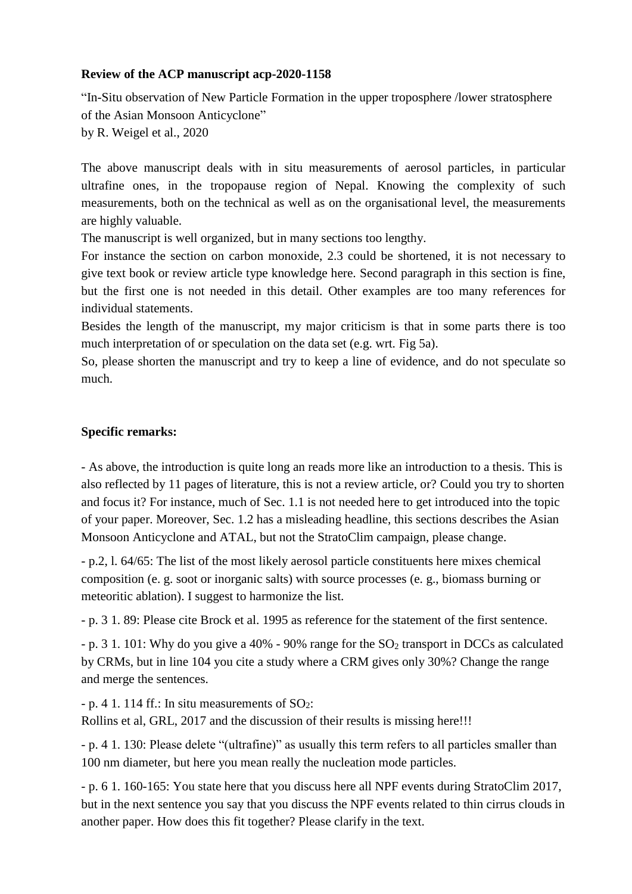## **Review of the ACP manuscript acp-2020-1158**

"In-Situ observation of New Particle Formation in the upper troposphere /lower stratosphere of the Asian Monsoon Anticyclone" by R. Weigel et al., 2020

The above manuscript deals with in situ measurements of aerosol particles, in particular ultrafine ones, in the tropopause region of Nepal. Knowing the complexity of such measurements, both on the technical as well as on the organisational level, the measurements are highly valuable.

The manuscript is well organized, but in many sections too lengthy.

For instance the section on carbon monoxide, 2.3 could be shortened, it is not necessary to give text book or review article type knowledge here. Second paragraph in this section is fine, but the first one is not needed in this detail. Other examples are too many references for individual statements.

Besides the length of the manuscript, my major criticism is that in some parts there is too much interpretation of or speculation on the data set (e.g. wrt. Fig 5a).

So, please shorten the manuscript and try to keep a line of evidence, and do not speculate so much.

## **Specific remarks:**

- As above, the introduction is quite long an reads more like an introduction to a thesis. This is also reflected by 11 pages of literature, this is not a review article, or? Could you try to shorten and focus it? For instance, much of Sec. 1.1 is not needed here to get introduced into the topic of your paper. Moreover, Sec. 1.2 has a misleading headline, this sections describes the Asian Monsoon Anticyclone and ATAL, but not the StratoClim campaign, please change.

- p.2, l. 64/65: The list of the most likely aerosol particle constituents here mixes chemical composition (e. g. soot or inorganic salts) with source processes (e. g., biomass burning or meteoritic ablation). I suggest to harmonize the list.

- p. 3 1. 89: Please cite Brock et al. 1995 as reference for the statement of the first sentence.

 $-$  p. 3 1. 101: Why do you give a 40% - 90% range for the  $SO<sub>2</sub>$  transport in DCCs as calculated by CRMs, but in line 104 you cite a study where a CRM gives only 30%? Change the range and merge the sentences.

 $-$  p. 4 1. 114 ff.: In situ measurements of SO<sub>2</sub>:

Rollins et al, GRL, 2017 and the discussion of their results is missing here!!!

- p. 4 1. 130: Please delete "(ultrafine)" as usually this term refers to all particles smaller than 100 nm diameter, but here you mean really the nucleation mode particles.

- p. 6 1. 160-165: You state here that you discuss here all NPF events during StratoClim 2017, but in the next sentence you say that you discuss the NPF events related to thin cirrus clouds in another paper. How does this fit together? Please clarify in the text.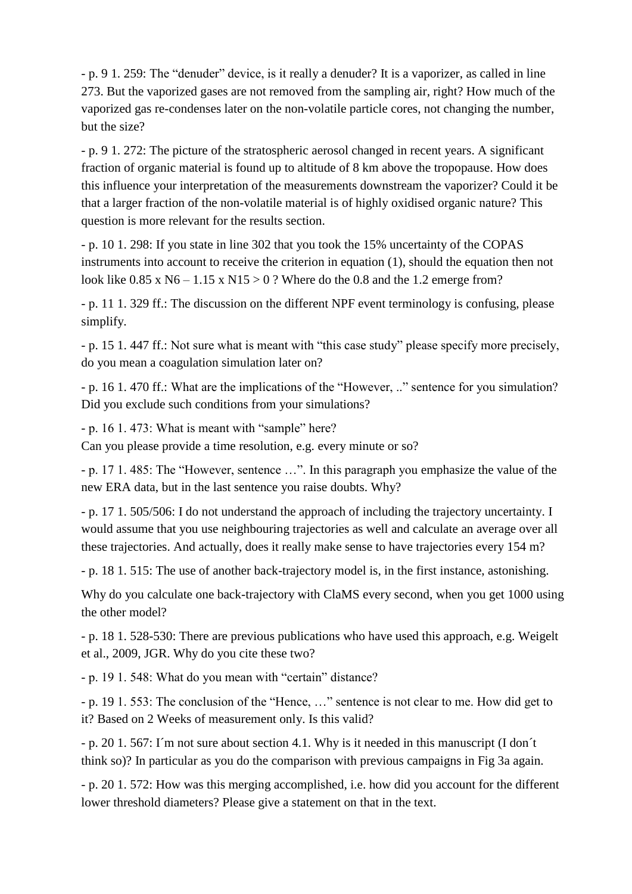- p. 9 1. 259: The "denuder" device, is it really a denuder? It is a vaporizer, as called in line 273. But the vaporized gases are not removed from the sampling air, right? How much of the vaporized gas re-condenses later on the non-volatile particle cores, not changing the number, but the size?

- p. 9 1. 272: The picture of the stratospheric aerosol changed in recent years. A significant fraction of organic material is found up to altitude of 8 km above the tropopause. How does this influence your interpretation of the measurements downstream the vaporizer? Could it be that a larger fraction of the non-volatile material is of highly oxidised organic nature? This question is more relevant for the results section.

- p. 10 1. 298: If you state in line 302 that you took the 15% uncertainty of the COPAS instruments into account to receive the criterion in equation (1), should the equation then not look like  $0.85 \times N6 - 1.15 \times N15 > 0$ ? Where do the 0.8 and the 1.2 emerge from?

- p. 11 1. 329 ff.: The discussion on the different NPF event terminology is confusing, please simplify.

- p. 15 1. 447 ff.: Not sure what is meant with "this case study" please specify more precisely, do you mean a coagulation simulation later on?

- p. 16 1. 470 ff.: What are the implications of the "However, .." sentence for you simulation? Did you exclude such conditions from your simulations?

- p. 16 1. 473: What is meant with "sample" here?

Can you please provide a time resolution, e.g. every minute or so?

- p. 17 1. 485: The "However, sentence …". In this paragraph you emphasize the value of the new ERA data, but in the last sentence you raise doubts. Why?

- p. 17 1. 505/506: I do not understand the approach of including the trajectory uncertainty. I would assume that you use neighbouring trajectories as well and calculate an average over all these trajectories. And actually, does it really make sense to have trajectories every 154 m?

- p. 18 1. 515: The use of another back-trajectory model is, in the first instance, astonishing.

Why do you calculate one back-trajectory with ClaMS every second, when you get 1000 using the other model?

- p. 18 1. 528-530: There are previous publications who have used this approach, e.g. Weigelt et al., 2009, JGR. Why do you cite these two?

- p. 19 1. 548: What do you mean with "certain" distance?

- p. 19 1. 553: The conclusion of the "Hence, …" sentence is not clear to me. How did get to it? Based on 2 Weeks of measurement only. Is this valid?

- p. 20 1. 567: I´m not sure about section 4.1. Why is it needed in this manuscript (I don´t think so)? In particular as you do the comparison with previous campaigns in Fig 3a again.

- p. 20 1. 572: How was this merging accomplished, i.e. how did you account for the different lower threshold diameters? Please give a statement on that in the text.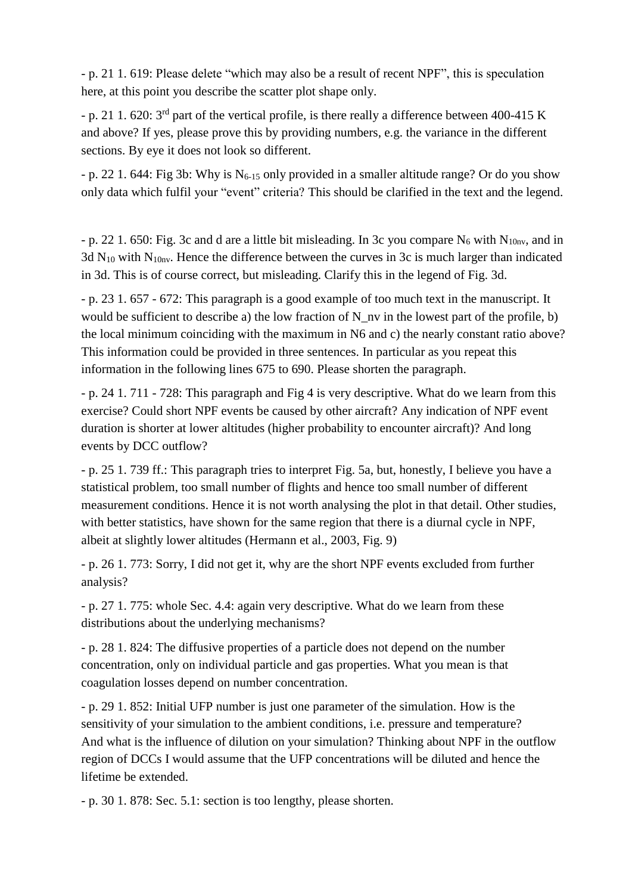- p. 21 1. 619: Please delete "which may also be a result of recent NPF", this is speculation here, at this point you describe the scatter plot shape only.

- p. 21 1. 620: 3<sup>rd</sup> part of the vertical profile, is there really a difference between 400-415 K and above? If yes, please prove this by providing numbers, e.g. the variance in the different sections. By eye it does not look so different.

- p. 22 1. 644: Fig 3b: Why is  $N_{6-15}$  only provided in a smaller altitude range? Or do you show only data which fulfil your "event" criteria? This should be clarified in the text and the legend.

- p. 22 1. 650: Fig. 3c and d are a little bit misleading. In 3c you compare  $N_6$  with  $N_{10nv}$ , and in 3d  $N_{10}$  with  $N_{10n}$ . Hence the difference between the curves in 3c is much larger than indicated in 3d. This is of course correct, but misleading. Clarify this in the legend of Fig. 3d.

- p. 23 1. 657 - 672: This paragraph is a good example of too much text in the manuscript. It would be sufficient to describe a) the low fraction of N\_nv in the lowest part of the profile, b) the local minimum coinciding with the maximum in N6 and c) the nearly constant ratio above? This information could be provided in three sentences. In particular as you repeat this information in the following lines 675 to 690. Please shorten the paragraph.

- p. 24 1. 711 - 728: This paragraph and Fig 4 is very descriptive. What do we learn from this exercise? Could short NPF events be caused by other aircraft? Any indication of NPF event duration is shorter at lower altitudes (higher probability to encounter aircraft)? And long events by DCC outflow?

- p. 25 1. 739 ff.: This paragraph tries to interpret Fig. 5a, but, honestly, I believe you have a statistical problem, too small number of flights and hence too small number of different measurement conditions. Hence it is not worth analysing the plot in that detail. Other studies, with better statistics, have shown for the same region that there is a diurnal cycle in NPF, albeit at slightly lower altitudes (Hermann et al., 2003, Fig. 9)

- p. 26 1. 773: Sorry, I did not get it, why are the short NPF events excluded from further analysis?

- p. 27 1. 775: whole Sec. 4.4: again very descriptive. What do we learn from these distributions about the underlying mechanisms?

- p. 28 1. 824: The diffusive properties of a particle does not depend on the number concentration, only on individual particle and gas properties. What you mean is that coagulation losses depend on number concentration.

- p. 29 1. 852: Initial UFP number is just one parameter of the simulation. How is the sensitivity of your simulation to the ambient conditions, i.e. pressure and temperature? And what is the influence of dilution on your simulation? Thinking about NPF in the outflow region of DCCs I would assume that the UFP concentrations will be diluted and hence the lifetime be extended.

- p. 30 1. 878: Sec. 5.1: section is too lengthy, please shorten.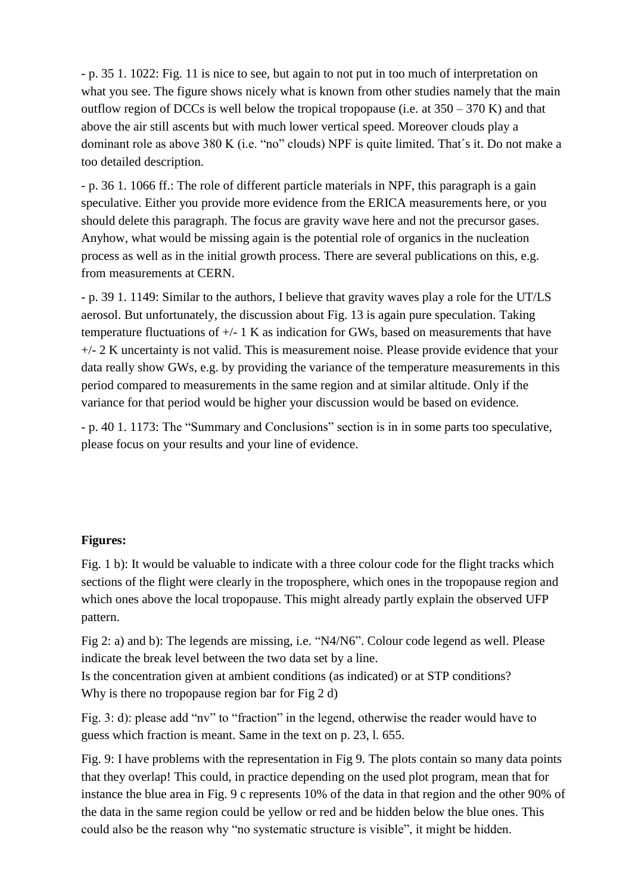- p. 35 1. 1022: Fig. 11 is nice to see, but again to not put in too much of interpretation on what you see. The figure shows nicely what is known from other studies namely that the main outflow region of DCCs is well below the tropical tropopause (i.e. at  $350 - 370$  K) and that above the air still ascents but with much lower vertical speed. Moreover clouds play a dominant role as above 380 K (i.e. "no" clouds) NPF is quite limited. That´s it. Do not make a too detailed description.

- p. 36 1. 1066 ff.: The role of different particle materials in NPF, this paragraph is a gain speculative. Either you provide more evidence from the ERICA measurements here, or you should delete this paragraph. The focus are gravity wave here and not the precursor gases. Anyhow, what would be missing again is the potential role of organics in the nucleation process as well as in the initial growth process. There are several publications on this, e.g. from measurements at CERN.

- p. 39 1. 1149: Similar to the authors, I believe that gravity waves play a role for the UT/LS aerosol. But unfortunately, the discussion about Fig. 13 is again pure speculation. Taking temperature fluctuations of  $+/- 1$  K as indication for GWs, based on measurements that have +/- 2 K uncertainty is not valid. This is measurement noise. Please provide evidence that your data really show GWs, e.g. by providing the variance of the temperature measurements in this period compared to measurements in the same region and at similar altitude. Only if the variance for that period would be higher your discussion would be based on evidence.

- p. 40 1. 1173: The "Summary and Conclusions" section is in in some parts too speculative, please focus on your results and your line of evidence.

## **Figures:**

Fig. 1 b): It would be valuable to indicate with a three colour code for the flight tracks which sections of the flight were clearly in the troposphere, which ones in the tropopause region and which ones above the local tropopause. This might already partly explain the observed UFP pattern.

Fig 2: a) and b): The legends are missing, i.e. "N4/N6". Colour code legend as well. Please indicate the break level between the two data set by a line.

Is the concentration given at ambient conditions (as indicated) or at STP conditions? Why is there no tropopause region bar for Fig 2 d)

Fig. 3: d): please add "nv" to "fraction" in the legend, otherwise the reader would have to guess which fraction is meant. Same in the text on p. 23, l. 655.

Fig. 9: I have problems with the representation in Fig 9. The plots contain so many data points that they overlap! This could, in practice depending on the used plot program, mean that for instance the blue area in Fig. 9 c represents 10% of the data in that region and the other 90% of the data in the same region could be yellow or red and be hidden below the blue ones. This could also be the reason why "no systematic structure is visible", it might be hidden.